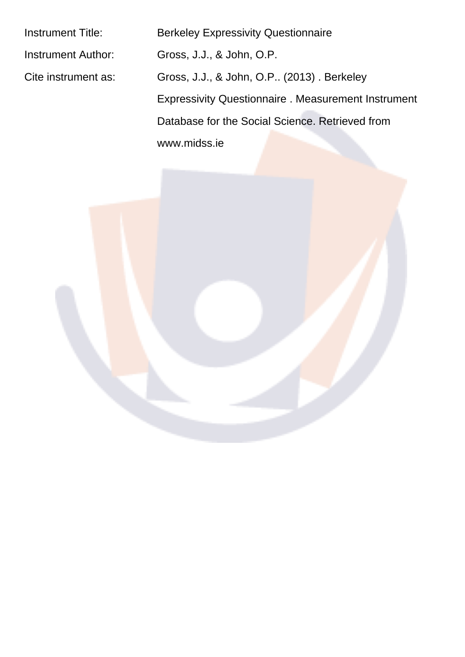Instrument Title: Berkeley Expressivity Questionnaire Instrument Author: Gross, J.J., & John, O.P.

Cite instrument as: Gross, J.J., & John, O.P.. (2013) . Berkeley Expressivity Questionnaire . Measurement Instrument Database for the Social Science. Retrieved from www.midss.ie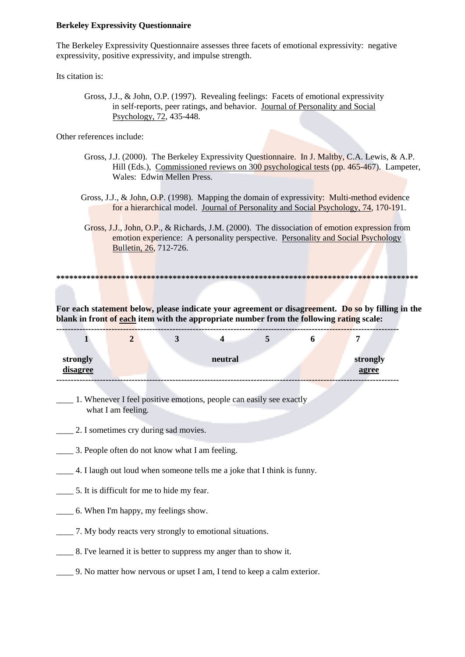## **Berkeley Expressivity Questionnaire**

The Berkeley Expressivity Questionnaire assesses three facets of emotional expressivity: negative expressivity, positive expressivity, and impulse strength.

Its citation is:

Gross, J.J., & John, O.P. (1997). Revealing feelings: Facets of emotional expressivity in self-reports, peer ratings, and behavior. Journal of Personality and Social Psychology, 72, 435-448.

Other references include:

- Gross, J.J. (2000). The Berkeley Expressivity Questionnaire. In J. Maltby, C.A. Lewis, & A.P. Hill (Eds.), Commissioned reviews on 300 psychological tests (pp. 465-467). Lampeter, Wales: Edwin Mellen Press.
- Gross, J.J., & John, O.P. (1998). Mapping the domain of expressivity: Multi-method evidence for a hierarchical model. Journal of Personality and Social Psychology, 74, 170-191.
- Gross, J.J., John, O.P., & Richards, J.M. (2000). The dissociation of emotion expression from emotion experience: A personality perspective. Personality and Social Psychology Bulletin, 26, 712-726.

For each statement below, please indicate your agreement or disagreement. Do so by filling in the blank in front of each item with the appropriate number from the following rating scale:

| strongly<br>disagree |  | neutral |  | strongly<br>agree |
|----------------------|--|---------|--|-------------------|

1. Whenever I feel positive emotions, people can easily see exactly what I am feeling.

2. I sometimes cry during sad movies.

- 3. People often do not know what I am feeling.
- 4. I laugh out loud when someone tells me a joke that I think is funny.
- 5. It is difficult for me to hide my fear.
- \_\_\_\_\_\_ 6. When I'm happy, my feelings show.
- 
- 8. I've learned it is better to suppress my anger than to show it.
- 9. No matter how nervous or upset I am, I tend to keep a calm exterior.